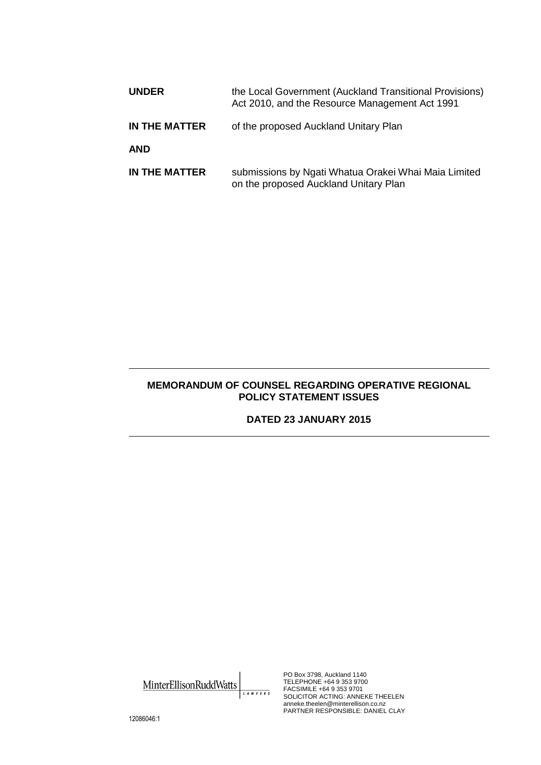| <b>UNDER</b>  | the Local Government (Auckland Transitional Provisions)<br>Act 2010, and the Resource Management Act 1991 |
|---------------|-----------------------------------------------------------------------------------------------------------|
| IN THE MATTER | of the proposed Auckland Unitary Plan                                                                     |
| <b>AND</b>    |                                                                                                           |
| IN THE MATTER | submissions by Ngati Whatua Orakei Whai Maia Limited<br>on the proposed Auckland Unitary Plan             |

## **MEMORANDUM OF COUNSEL REGARDING OPERATIVE REGIONAL POLICY STATEMENT ISSUES**

## **DATED 23 JANUARY 2015**

MinterEllisonRuddWatts LAWYERS PO Box 3798, Auckland 1140 TELEPHONE +64 9 353 9700 FACSIMILE +64 9 353 9701 SOLICITOR ACTING: ANNEKE THEELEN anneke.theelen@minterellison.co.nz PARTNER RESPONSIBLE: DANIEL CLAY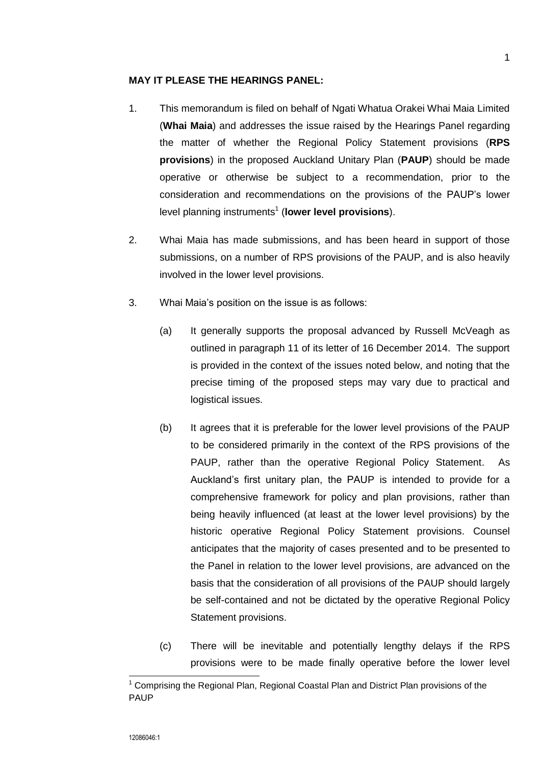## **MAY IT PLEASE THE HEARINGS PANEL:**

- 1. This memorandum is filed on behalf of Ngati Whatua Orakei Whai Maia Limited (**Whai Maia**) and addresses the issue raised by the Hearings Panel regarding the matter of whether the Regional Policy Statement provisions (**RPS provisions**) in the proposed Auckland Unitary Plan (**PAUP**) should be made operative or otherwise be subject to a recommendation, prior to the consideration and recommendations on the provisions of the PAUP's lower level planning instruments<sup>1</sup> (lower level provisions).
- 2. Whai Maia has made submissions, and has been heard in support of those submissions, on a number of RPS provisions of the PAUP, and is also heavily involved in the lower level provisions.
- 3. Whai Maia's position on the issue is as follows:
	- (a) It generally supports the proposal advanced by Russell McVeagh as outlined in paragraph 11 of its letter of 16 December 2014. The support is provided in the context of the issues noted below, and noting that the precise timing of the proposed steps may vary due to practical and logistical issues.
	- (b) It agrees that it is preferable for the lower level provisions of the PAUP to be considered primarily in the context of the RPS provisions of the PAUP, rather than the operative Regional Policy Statement. As Auckland's first unitary plan, the PAUP is intended to provide for a comprehensive framework for policy and plan provisions, rather than being heavily influenced (at least at the lower level provisions) by the historic operative Regional Policy Statement provisions. Counsel anticipates that the majority of cases presented and to be presented to the Panel in relation to the lower level provisions, are advanced on the basis that the consideration of all provisions of the PAUP should largely be self-contained and not be dictated by the operative Regional Policy Statement provisions.
	- (c) There will be inevitable and potentially lengthy delays if the RPS provisions were to be made finally operative before the lower level

1

 $^1$  Comprising the Regional Plan, Regional Coastal Plan and District Plan provisions of the PAUP